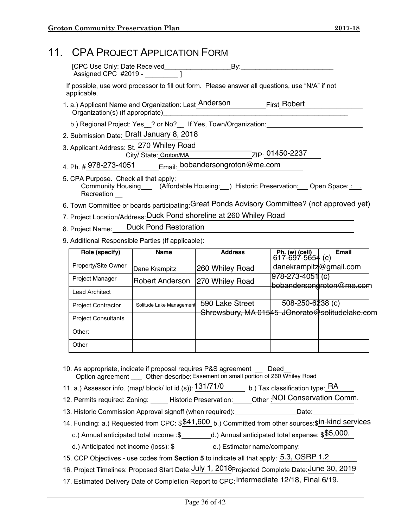|                                                    | 11. CPA PROJECT APPLICATION FORM                                                                                                                |               |                 |                                    |              |  |  |  |
|----------------------------------------------------|-------------------------------------------------------------------------------------------------------------------------------------------------|---------------|-----------------|------------------------------------|--------------|--|--|--|
|                                                    |                                                                                                                                                 |               |                 |                                    |              |  |  |  |
|                                                    | If possible, use word processor to fill out form. Please answer all questions, use "N/A" if not<br>applicable.                                  |               |                 |                                    |              |  |  |  |
|                                                    |                                                                                                                                                 |               |                 |                                    |              |  |  |  |
|                                                    | b.) Regional Project: Yes __? or No? __ If Yes, Town/Organization: _____________                                                                |               |                 |                                    |              |  |  |  |
|                                                    | 2. Submission Date: Draft January 8, 2018                                                                                                       |               |                 |                                    |              |  |  |  |
|                                                    |                                                                                                                                                 |               |                 |                                    |              |  |  |  |
|                                                    | 4. Ph. # 978-273-4051 Email: bobandersongroton@me.com                                                                                           |               |                 |                                    |              |  |  |  |
|                                                    | 5. CPA Purpose. Check all that apply:<br>Community Housing____ (Affordable Housing:__) Historic Preservation:___ Open Space: :___<br>Recreation |               |                 |                                    |              |  |  |  |
|                                                    | 6. Town Committee or boards participating: Great Ponds Advisory Committee? (not approved yet)                                                   |               |                 |                                    |              |  |  |  |
|                                                    | 7. Project Location/Address: Duck Pond shoreline at 260 Whiley Road                                                                             |               |                 |                                    |              |  |  |  |
|                                                    | 8. Project Name: Duck Pond Restoration                                                                                                          |               |                 |                                    |              |  |  |  |
| 9. Additional Responsible Parties (If applicable): |                                                                                                                                                 |               |                 |                                    |              |  |  |  |
|                                                    | Role (specify)                                                                                                                                  | <b>Name</b>   | <b>Address</b>  | Ph. (w) (cell)<br>617-697-5654 (c) | <b>Email</b> |  |  |  |
|                                                    | Property/Site Owner                                                                                                                             | Dane Krampitz | 260 Whiley Road | danekrampitz@gmail.com             |              |  |  |  |

|                            |                          |                                                | $617 - 697 - 5654$ (c) |                          |
|----------------------------|--------------------------|------------------------------------------------|------------------------|--------------------------|
| Property/Site Owner        | Dane Krampitz            | 260 Whiley Road                                | danekrampitz@gmail.com |                          |
| Project Manager            | Robert Anderson          | 270 Whiley Road                                | $978 - 273 - 4051$ (c) | bobandersondroton@me.com |
| <b>Lead Architect</b>      |                          |                                                |                        |                          |
| <b>Project Contractor</b>  | Solitude Lake Management | 590 Lake Street                                | 508-250-6238 (c)       |                          |
| <b>Project Consultants</b> |                          | Shrewsbury, MA 01545 JOnorato@solitudelake.com |                        |                          |
| Other:                     |                          |                                                |                        |                          |
| Other                      |                          |                                                |                        |                          |

- 10. As appropriate, indicate if proposal requires P&S agreement \_\_ Deed\_\_ Option agreement \_\_\_ Other-describe: Easement on small portion of 260 Whiley Road
- 11. a.) Assessor info. (map/ block/ lot id.(s)):  $\frac{131/71/0}{\sqrt{131}}$  b.) Tax classification type:  $\overline{\sf{RA}}$
- 12. Permits required: Zoning: Historic Preservation: Other : NOI Conservation Comm.
- 13. Historic Commission Approval signoff (when required): Date:
- 14. Funding: a.) Requested from CPC:  $$41,600$  b.) Committed from other sources:  $\sin$ -kind services
- c.) Annual anticipated total income :\$\_\_\_\_\_\_\_\_\_d.) Annual anticipated total expense:  $$\$5,000$ .
	- d.) Anticipated net income (loss): \$\_\_\_\_\_\_\_\_\_\_\_\_\_e.) Estimator name/company: \_
- 15. CCP Objectives use codes from **Section 5** to indicate all that apply:  $\frac{5.3}{5.3}$ , OSRP 1.2
- 16. Project Timelines: Proposed Start Date: July 1, 2018 Projected Complete Date: June 30, 2019
- 17. Estimated Delivery Date of Completion Report to CPC: Intermediate 12/18, Final 6/19.